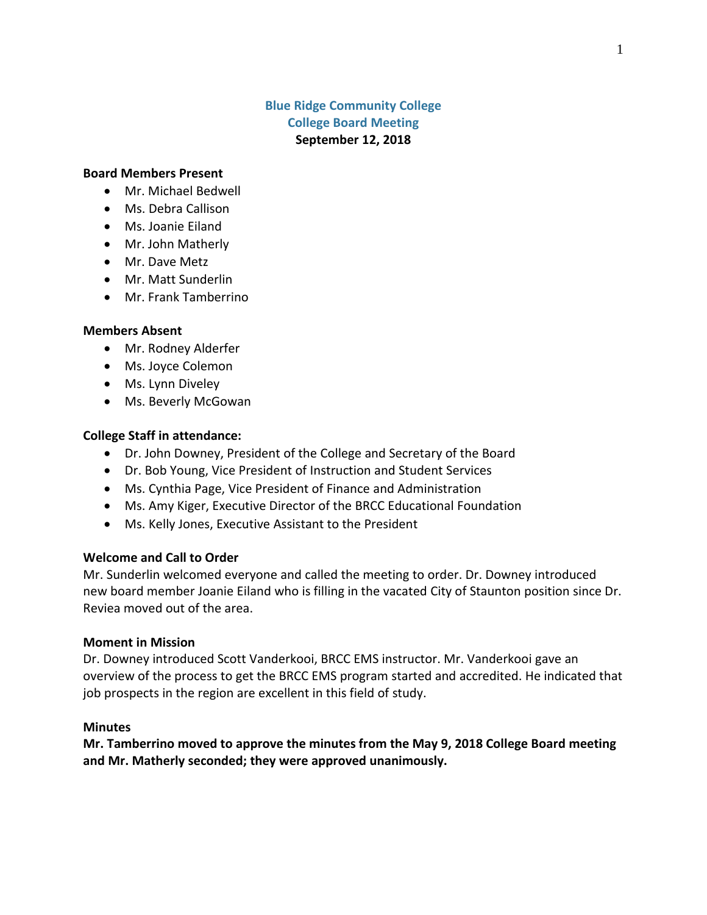# **Blue Ridge Community College College Board Meeting September 12, 2018**

#### **Board Members Present**

- Mr. Michael Bedwell
- Ms. Debra Callison
- Ms. Joanie Eiland
- Mr. John Matherly
- Mr. Dave Metz
- Mr. Matt Sunderlin
- Mr. Frank Tamberrino

#### **Members Absent**

- Mr. Rodney Alderfer
- Ms. Joyce Colemon
- Ms. Lynn Diveley
- Ms. Beverly McGowan

### **College Staff in attendance:**

- Dr. John Downey, President of the College and Secretary of the Board
- Dr. Bob Young, Vice President of Instruction and Student Services
- Ms. Cynthia Page, Vice President of Finance and Administration
- Ms. Amy Kiger, Executive Director of the BRCC Educational Foundation
- Ms. Kelly Jones, Executive Assistant to the President

### **Welcome and Call to Order**

Mr. Sunderlin welcomed everyone and called the meeting to order. Dr. Downey introduced new board member Joanie Eiland who is filling in the vacated City of Staunton position since Dr. Reviea moved out of the area.

#### **Moment in Mission**

Dr. Downey introduced Scott Vanderkooi, BRCC EMS instructor. Mr. Vanderkooi gave an overview of the process to get the BRCC EMS program started and accredited. He indicated that job prospects in the region are excellent in this field of study.

#### **Minutes**

**Mr. Tamberrino moved to approve the minutes from the May 9, 2018 College Board meeting and Mr. Matherly seconded; they were approved unanimously.**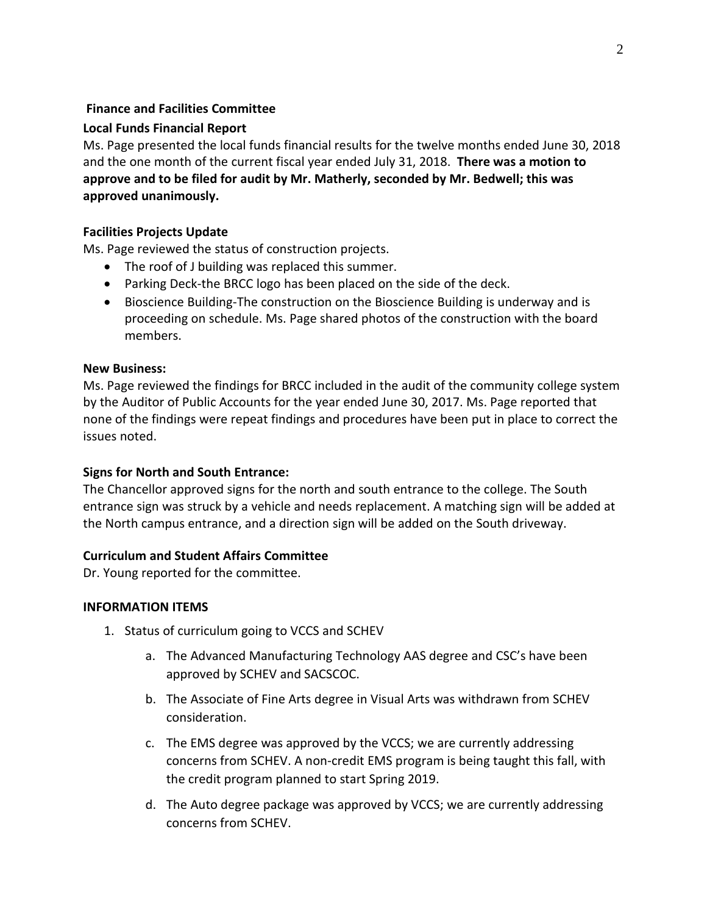# **Finance and Facilities Committee**

# **Local Funds Financial Report**

Ms. Page presented the local funds financial results for the twelve months ended June 30, 2018 and the one month of the current fiscal year ended July 31, 2018. **There was a motion to approve and to be filed for audit by Mr. Matherly, seconded by Mr. Bedwell; this was approved unanimously.**

## **Facilities Projects Update**

Ms. Page reviewed the status of construction projects.

- The roof of J building was replaced this summer.
- Parking Deck-the BRCC logo has been placed on the side of the deck.
- Bioscience Building-The construction on the Bioscience Building is underway and is proceeding on schedule. Ms. Page shared photos of the construction with the board members.

#### **New Business:**

Ms. Page reviewed the findings for BRCC included in the audit of the community college system by the Auditor of Public Accounts for the year ended June 30, 2017. Ms. Page reported that none of the findings were repeat findings and procedures have been put in place to correct the issues noted.

### **Signs for North and South Entrance:**

The Chancellor approved signs for the north and south entrance to the college. The South entrance sign was struck by a vehicle and needs replacement. A matching sign will be added at the North campus entrance, and a direction sign will be added on the South driveway.

### **Curriculum and Student Affairs Committee**

Dr. Young reported for the committee.

### **INFORMATION ITEMS**

- 1. Status of curriculum going to VCCS and SCHEV
	- a. The Advanced Manufacturing Technology AAS degree and CSC's have been approved by SCHEV and SACSCOC.
	- b. The Associate of Fine Arts degree in Visual Arts was withdrawn from SCHEV consideration.
	- c. The EMS degree was approved by the VCCS; we are currently addressing concerns from SCHEV. A non-credit EMS program is being taught this fall, with the credit program planned to start Spring 2019.
	- d. The Auto degree package was approved by VCCS; we are currently addressing concerns from SCHEV.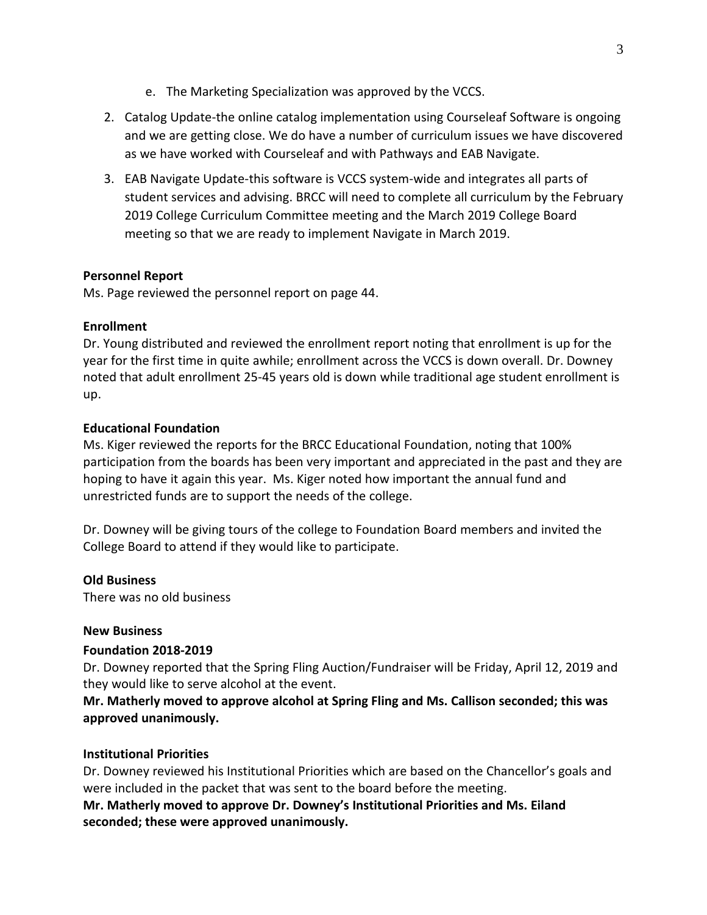- e. The Marketing Specialization was approved by the VCCS.
- 2. Catalog Update-the online catalog implementation using Courseleaf Software is ongoing and we are getting close. We do have a number of curriculum issues we have discovered as we have worked with Courseleaf and with Pathways and EAB Navigate.
- 3. EAB Navigate Update-this software is VCCS system-wide and integrates all parts of student services and advising. BRCC will need to complete all curriculum by the February 2019 College Curriculum Committee meeting and the March 2019 College Board meeting so that we are ready to implement Navigate in March 2019.

### **Personnel Report**

Ms. Page reviewed the personnel report on page 44.

## **Enrollment**

Dr. Young distributed and reviewed the enrollment report noting that enrollment is up for the year for the first time in quite awhile; enrollment across the VCCS is down overall. Dr. Downey noted that adult enrollment 25-45 years old is down while traditional age student enrollment is up.

## **Educational Foundation**

Ms. Kiger reviewed the reports for the BRCC Educational Foundation, noting that 100% participation from the boards has been very important and appreciated in the past and they are hoping to have it again this year. Ms. Kiger noted how important the annual fund and unrestricted funds are to support the needs of the college.

Dr. Downey will be giving tours of the college to Foundation Board members and invited the College Board to attend if they would like to participate.

### **Old Business**

There was no old business

### **New Business**

### **Foundation 2018-2019**

Dr. Downey reported that the Spring Fling Auction/Fundraiser will be Friday, April 12, 2019 and they would like to serve alcohol at the event.

**Mr. Matherly moved to approve alcohol at Spring Fling and Ms. Callison seconded; this was approved unanimously.**

### **Institutional Priorities**

Dr. Downey reviewed his Institutional Priorities which are based on the Chancellor's goals and were included in the packet that was sent to the board before the meeting.

**Mr. Matherly moved to approve Dr. Downey's Institutional Priorities and Ms. Eiland seconded; these were approved unanimously.**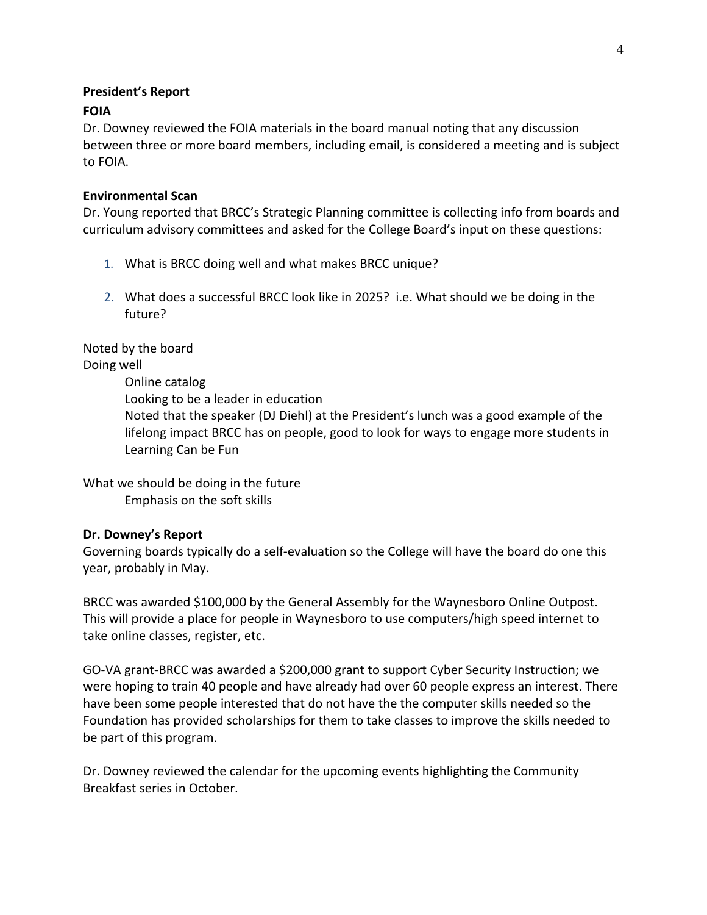### **President's Report**

# **FOIA**

Dr. Downey reviewed the FOIA materials in the board manual noting that any discussion between three or more board members, including email, is considered a meeting and is subject to FOIA.

## **Environmental Scan**

Dr. Young reported that BRCC's Strategic Planning committee is collecting info from boards and curriculum advisory committees and asked for the College Board's input on these questions:

- 1. What is BRCC doing well and what makes BRCC unique?
- 2. What does a successful BRCC look like in 2025? i.e. What should we be doing in the future?

Noted by the board Doing well Online catalog Looking to be a leader in education Noted that the speaker (DJ Diehl) at the President's lunch was a good example of the lifelong impact BRCC has on people, good to look for ways to engage more students in Learning Can be Fun

What we should be doing in the future Emphasis on the soft skills

# **Dr. Downey's Report**

Governing boards typically do a self-evaluation so the College will have the board do one this year, probably in May.

BRCC was awarded \$100,000 by the General Assembly for the Waynesboro Online Outpost. This will provide a place for people in Waynesboro to use computers/high speed internet to take online classes, register, etc.

GO-VA grant-BRCC was awarded a \$200,000 grant to support Cyber Security Instruction; we were hoping to train 40 people and have already had over 60 people express an interest. There have been some people interested that do not have the the computer skills needed so the Foundation has provided scholarships for them to take classes to improve the skills needed to be part of this program.

Dr. Downey reviewed the calendar for the upcoming events highlighting the Community Breakfast series in October.